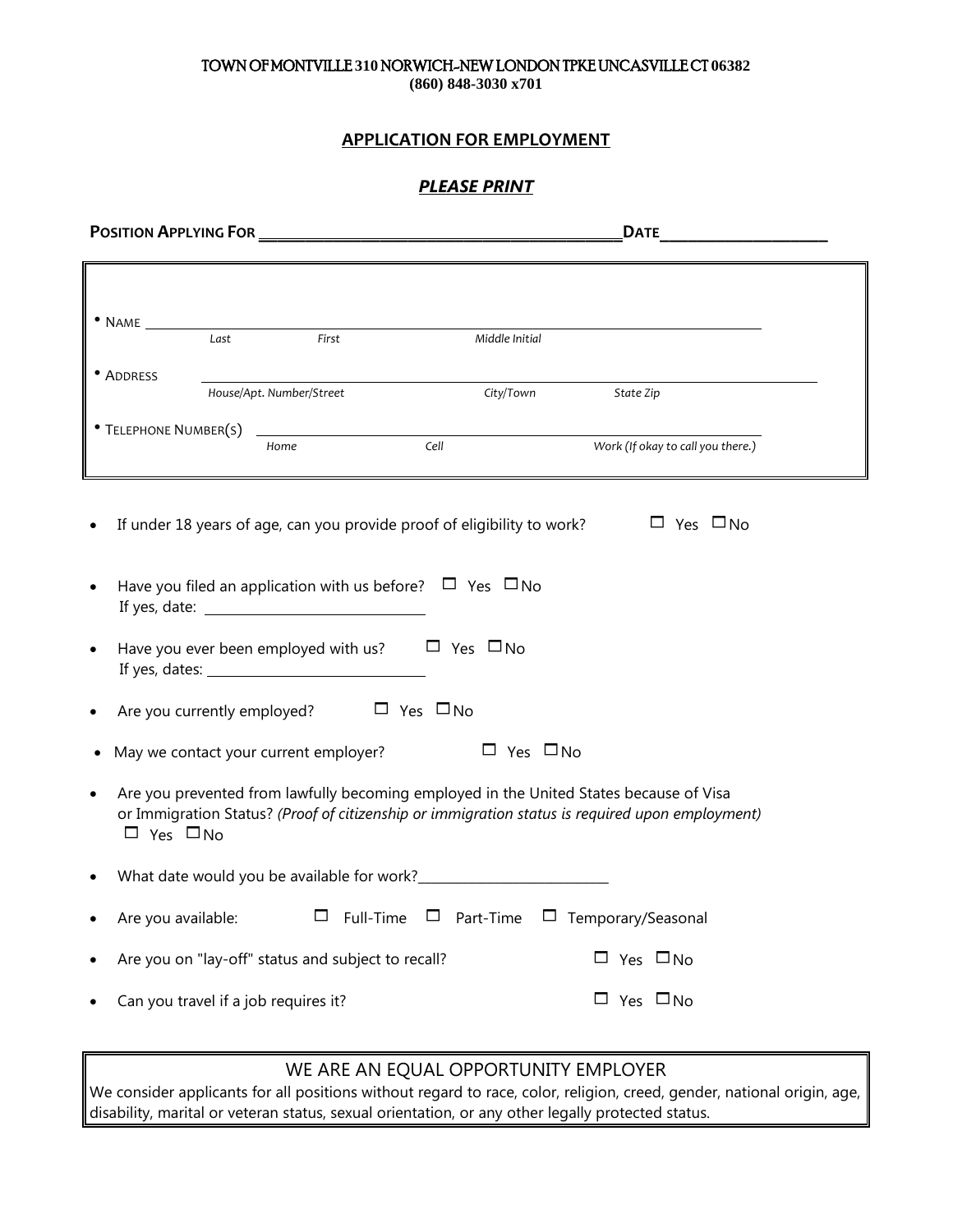### TOWN OF MONTVILLE **310** NORWICH-NEW LONDON TPKE UNCASVILLE CT **06382**

**(860) 848-3030 x701**

### **APPLICATION FOR EMPLOYMENT**

### *PLEASE PRINT*

|                      |                                                    |                                                                                                                                                                                           |                      | <b>DATE</b>                       | $\overline{\phantom{a}}$ |
|----------------------|----------------------------------------------------|-------------------------------------------------------------------------------------------------------------------------------------------------------------------------------------------|----------------------|-----------------------------------|--------------------------|
| $\bullet$ NAME       |                                                    |                                                                                                                                                                                           |                      |                                   |                          |
|                      | Last<br>First                                      | Middle Initial                                                                                                                                                                            |                      |                                   |                          |
| • ADDRESS            | House/Apt. Number/Street                           |                                                                                                                                                                                           | City/Town            | State Zip                         |                          |
|                      |                                                    |                                                                                                                                                                                           |                      |                                   |                          |
|                      | Home                                               | Cell                                                                                                                                                                                      |                      | Work (If okay to call you there.) |                          |
| $\bullet$            |                                                    | If under 18 years of age, can you provide proof of eligibility to work?<br>Have you filed an application with us before? $\Box$ Yes $\Box$ No                                             |                      | $\Box$ Yes $\Box$ No              |                          |
| $\bullet$            |                                                    | Have you ever been employed with us? $\Box$ Yes $\Box$ No                                                                                                                                 |                      |                                   |                          |
|                      | Are you currently employed? $\Box$ Yes $\Box$ No   |                                                                                                                                                                                           |                      |                                   |                          |
|                      | May we contact your current employer?              |                                                                                                                                                                                           | $\Box$ Yes $\Box$ No |                                   |                          |
| $\Box$ Yes $\Box$ No |                                                    | Are you prevented from lawfully becoming employed in the United States because of Visa<br>or Immigration Status? (Proof of citizenship or immigration status is required upon employment) |                      |                                   |                          |
|                      |                                                    |                                                                                                                                                                                           |                      |                                   |                          |
| Are you available:   |                                                    | $\Box$ Full-Time $\Box$ Part-Time $\Box$ Temporary/Seasonal                                                                                                                               |                      |                                   |                          |
|                      | Are you on "lay-off" status and subject to recall? |                                                                                                                                                                                           |                      | $\Box$ Yes $\Box$ No              |                          |
|                      | Can you travel if a job requires it?               |                                                                                                                                                                                           |                      | $\Box$ Yes $\Box$ No              |                          |

### WE ARE AN EQUAL OPPORTUNITY EMPLOYER

We consider applicants for all positions without regard to race, color, religion, creed, gender, national origin, age, disability, marital or veteran status, sexual orientation, or any other legally protected status.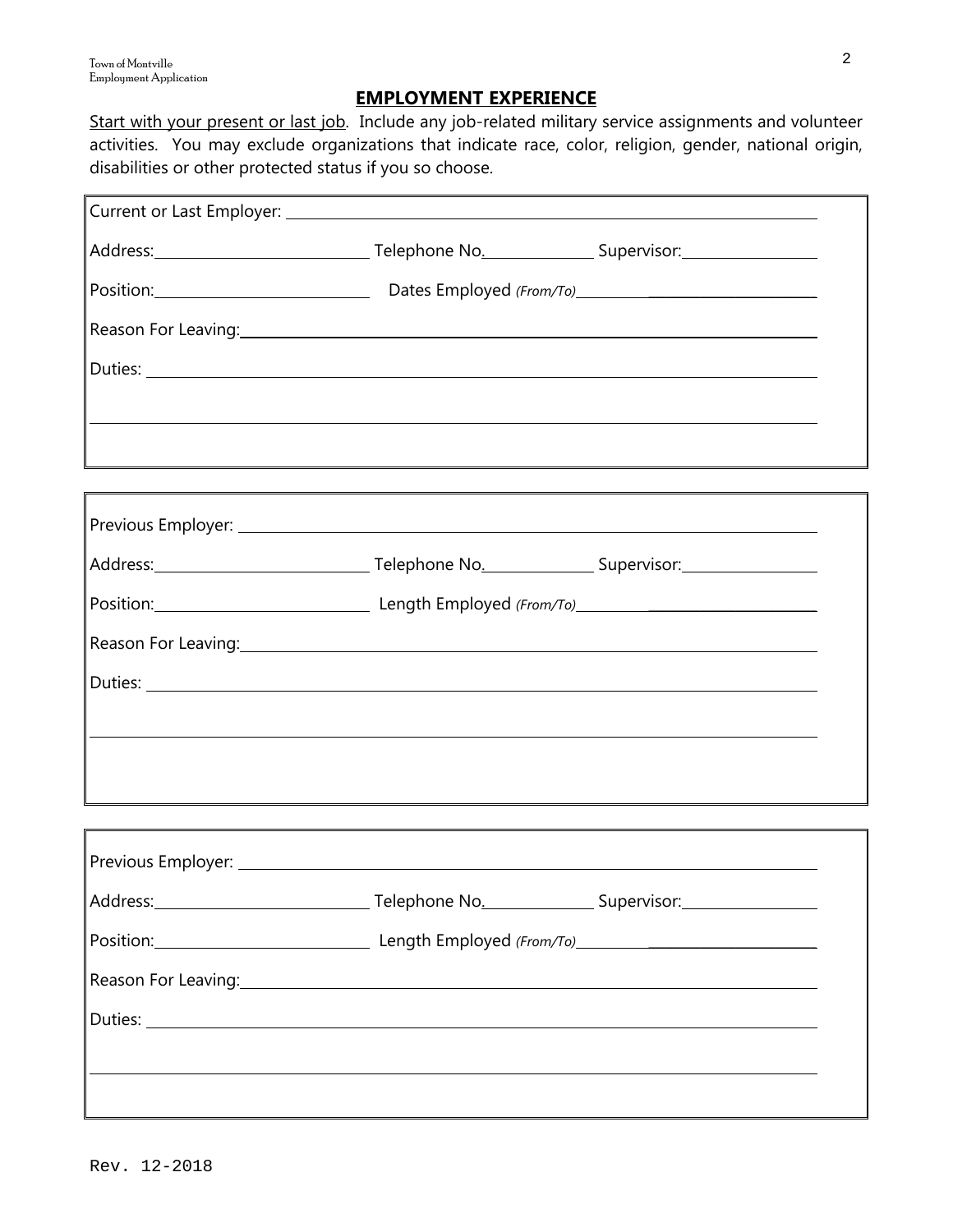### **EMPLOYMENT EXPERIENCE**

Start with your present or last job. Include any job-related military service assignments and volunteer activities. You may exclude organizations that indicate race, color, religion, gender, national origin, disabilities or other protected status if you so choose.

| Position: Dates Employed (From/To) CONFIDENTIAL CONTENTS OF DETAILS AND RESEXTEND TO DETAILS A DISTURBANCE OF D                                                                                                                      |  |  |
|--------------------------------------------------------------------------------------------------------------------------------------------------------------------------------------------------------------------------------------|--|--|
| Reason For Leaving: New York Changes and Changes and Changes and Changes and Changes and Changes and Changes and Changes and Changes and Changes and Changes and Changes and Changes and Changes and Changes and Changes and C       |  |  |
|                                                                                                                                                                                                                                      |  |  |
|                                                                                                                                                                                                                                      |  |  |
|                                                                                                                                                                                                                                      |  |  |
|                                                                                                                                                                                                                                      |  |  |
|                                                                                                                                                                                                                                      |  |  |
|                                                                                                                                                                                                                                      |  |  |
| Position: <u>contract of the contract of the contract of the contract of the contract of the contract of the contract of the contract of the contract of the contract of the contract of the contract of the contract of the con</u> |  |  |
| Reason For Leaving: 2008 and 2008 and 2008 and 2008 and 2008 and 2008 and 2008 and 2008 and 2008 and 2008 and 2008 and 2008 and 2008 and 2008 and 2008 and 2008 and 2008 and 2008 and 2008 and 2008 and 2008 and 2008 and 2008       |  |  |
|                                                                                                                                                                                                                                      |  |  |
|                                                                                                                                                                                                                                      |  |  |
|                                                                                                                                                                                                                                      |  |  |
|                                                                                                                                                                                                                                      |  |  |
|                                                                                                                                                                                                                                      |  |  |
|                                                                                                                                                                                                                                      |  |  |
| Position: <u>Contract Communication</u> Length Employed (From/To)                                                                                                                                                                    |  |  |
| Reason For Leaving: 2008 and 2008 and 2008 and 2008 and 2008 and 2008 and 2008 and 2008 and 2008 and 2008 and                                                                                                                        |  |  |
|                                                                                                                                                                                                                                      |  |  |
|                                                                                                                                                                                                                                      |  |  |
|                                                                                                                                                                                                                                      |  |  |
|                                                                                                                                                                                                                                      |  |  |

7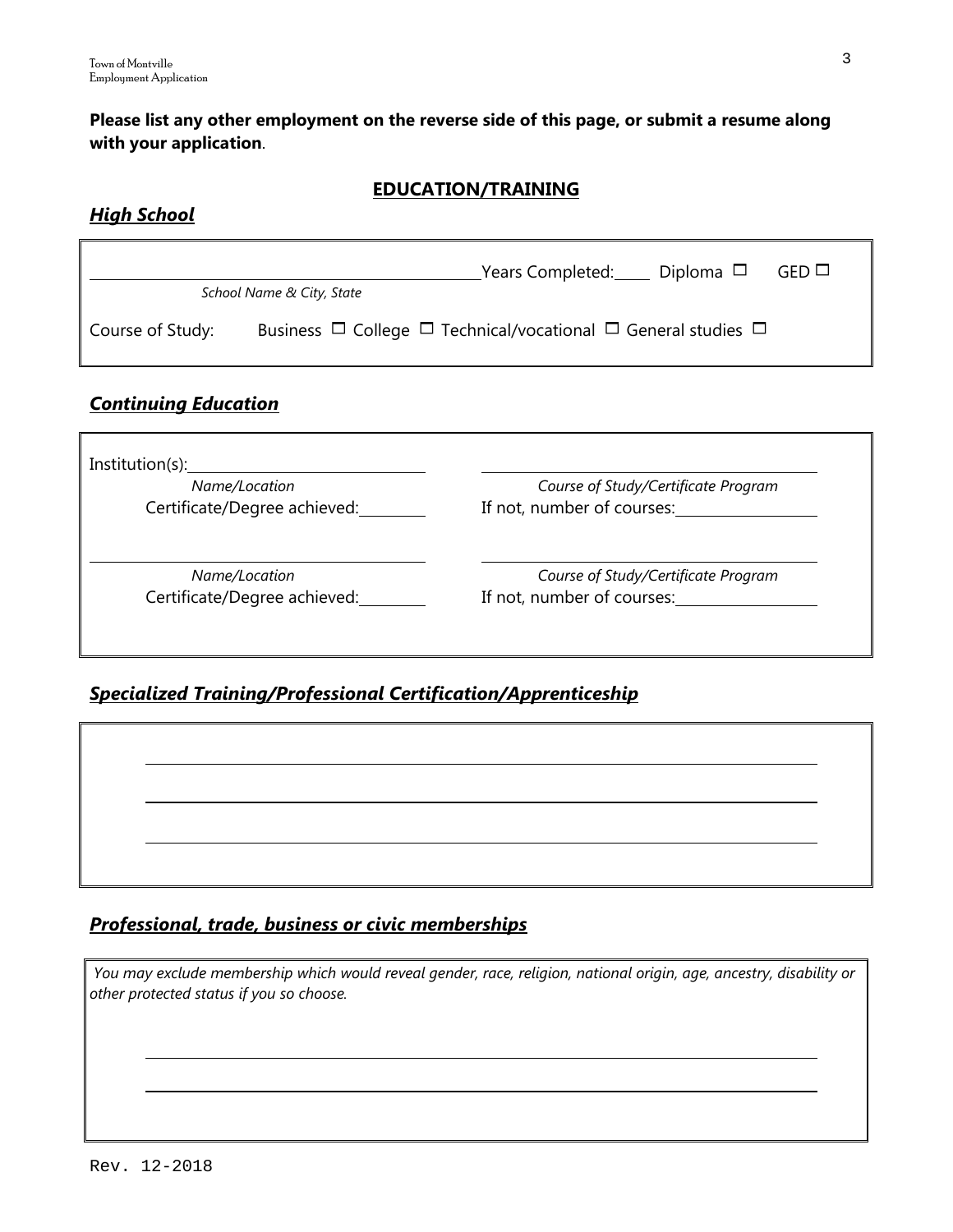**Please list any other employment on the reverse side of this page, or submit a resume along with your application**.

### **EDUCATION/TRAINING**

## *High School*

|                  | School Name & City, State                                                         | Years Completed: Diploma $\Box$ | $GED \Box$ |
|------------------|-----------------------------------------------------------------------------------|---------------------------------|------------|
| Course of Study: | Business $\Box$ College $\Box$ Technical/vocational $\Box$ General studies $\Box$ |                                 |            |

## *Continuing Education*

| Institution(s):                               |                                                                   |
|-----------------------------------------------|-------------------------------------------------------------------|
| Name/Location                                 | Course of Study/Certificate Program                               |
| Certificate/Degree achieved:                  | If not, number of courses:                                        |
| Name/Location<br>Certificate/Degree achieved: | Course of Study/Certificate Program<br>If not, number of courses: |

## *Specialized Training/Professional Certification/Apprenticeship*

## *Professional, trade, business or civic memberships*

*You may exclude membership which would reveal gender, race, religion, national origin, age, ancestry, disability or other protected status if you so choose.*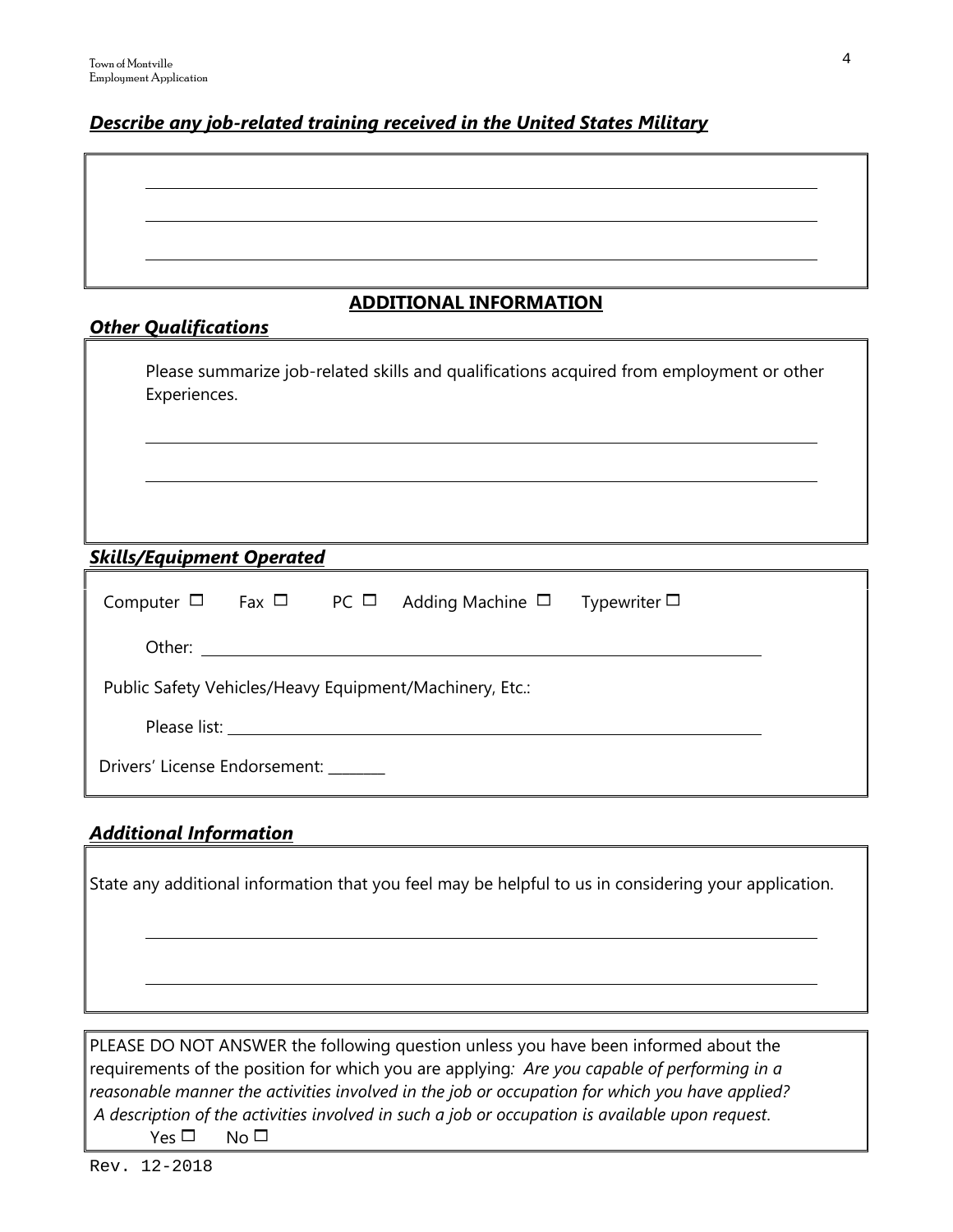## *Describe any job-related training received in the United States Military*

## **ADDITIONAL INFORMATION**

| <b>Other Qualifications</b>                                                                              |
|----------------------------------------------------------------------------------------------------------|
| Please summarize job-related skills and qualifications acquired from employment or other<br>Experiences. |
|                                                                                                          |

## *Skills/Equipment Operated*

|                                                         |  |  | Computer $\Box$ Fax $\Box$ PC $\Box$ Adding Machine $\Box$ Typewriter $\Box$ |  |  |  |  |
|---------------------------------------------------------|--|--|------------------------------------------------------------------------------|--|--|--|--|
|                                                         |  |  |                                                                              |  |  |  |  |
| Public Safety Vehicles/Heavy Equipment/Machinery, Etc.: |  |  |                                                                              |  |  |  |  |
|                                                         |  |  |                                                                              |  |  |  |  |
| Drivers' License Endorsement:                           |  |  |                                                                              |  |  |  |  |

## *Additional Information*

State any additional information that you feel may be helpful to us in considering your application.

PLEASE DO NOT ANSWER the following question unless you have been informed about the requirements of the position for which you are applying*: Are you capable of performing in a reasonable manner the activities involved in the job or occupation for which you have applied? A description of the activities involved in such a job or occupation is available upon request*.  $Yes \Box$  No  $\Box$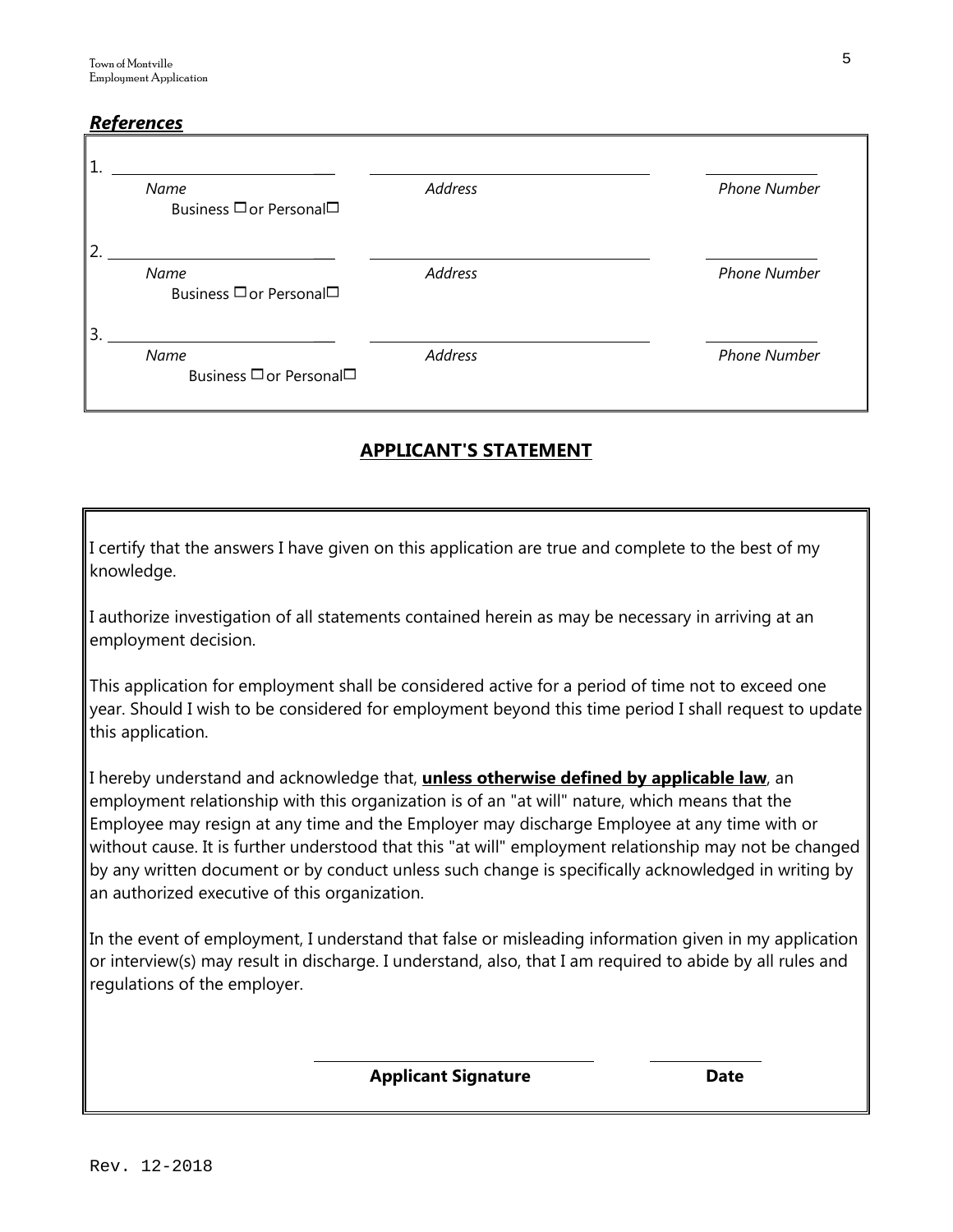## *References*

| Name<br>Business □ or Personal□ | Address        | <b>Phone Number</b> |
|---------------------------------|----------------|---------------------|
| Name<br>Business □ or Personal□ | <b>Address</b> | <b>Phone Number</b> |
| Name                            | <b>Address</b> | <b>Phone Number</b> |

## **APPLICANT'S STATEMENT**

I certify that the answers I have given on this application are true and complete to the best of my knowledge.

I authorize investigation of all statements contained herein as may be necessary in arriving at an employment decision.

This application for employment shall be considered active for a period of time not to exceed one year. Should I wish to be considered for employment beyond this time period I shall request to update this application.

I hereby understand and acknowledge that, **unless otherwise defined by applicable law**, an employment relationship with this organization is of an "at will" nature, which means that the Employee may resign at any time and the Employer may discharge Employee at any time with or without cause. It is further understood that this "at will" employment relationship may not be changed by any written document or by conduct unless such change is specifically acknowledged in writing by an authorized executive of this organization.

In the event of employment, I understand that false or misleading information given in my application or interview(s) may result in discharge. I understand, also, that I am required to abide by all rules and regulations of the employer.

**Applicant Signature Date**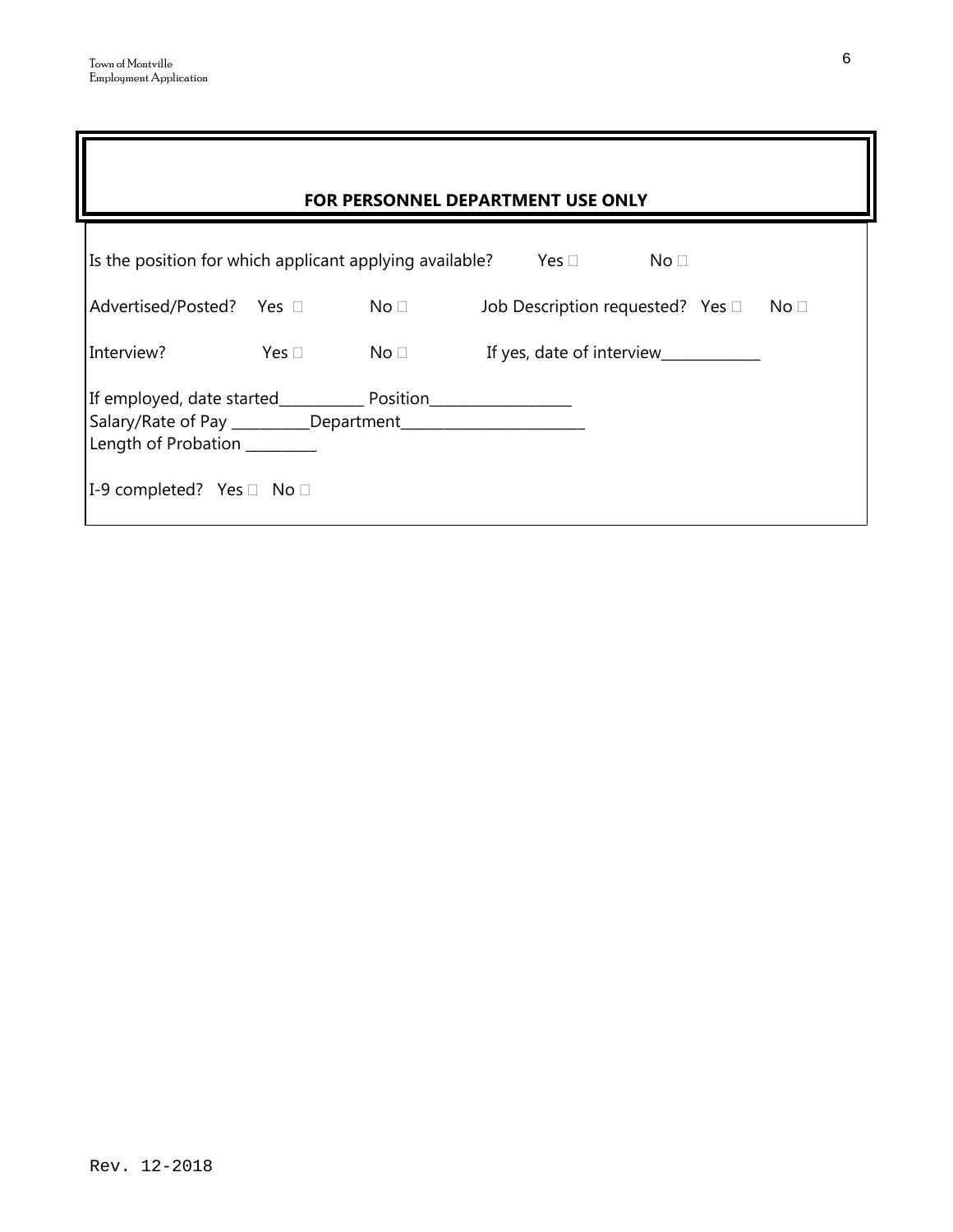| <b>FOR PERSONNEL DEPARTMENT USE ONLY</b>                                                                                        |  |                                                          |  |                                      |                 |  |                 |  |
|---------------------------------------------------------------------------------------------------------------------------------|--|----------------------------------------------------------|--|--------------------------------------|-----------------|--|-----------------|--|
| Is the position for which applicant applying available?                                                                         |  |                                                          |  | Yes $\square$                        | No <sub>1</sub> |  |                 |  |
| Advertised/Posted? Yes □ No □                                                                                                   |  |                                                          |  | Job Description requested? Yes       |                 |  | No <sub>1</sub> |  |
| Interview?                                                                                                                      |  | $\mathsf{Yes} \; \Box \qquad \qquad \mathsf{No} \; \Box$ |  | If yes, date of interview __________ |                 |  |                 |  |
| If employed, date started_____________ Position____________________<br>Length of Probation _______<br>I-9 completed? Yes □ No □ |  |                                                          |  |                                      |                 |  |                 |  |

7